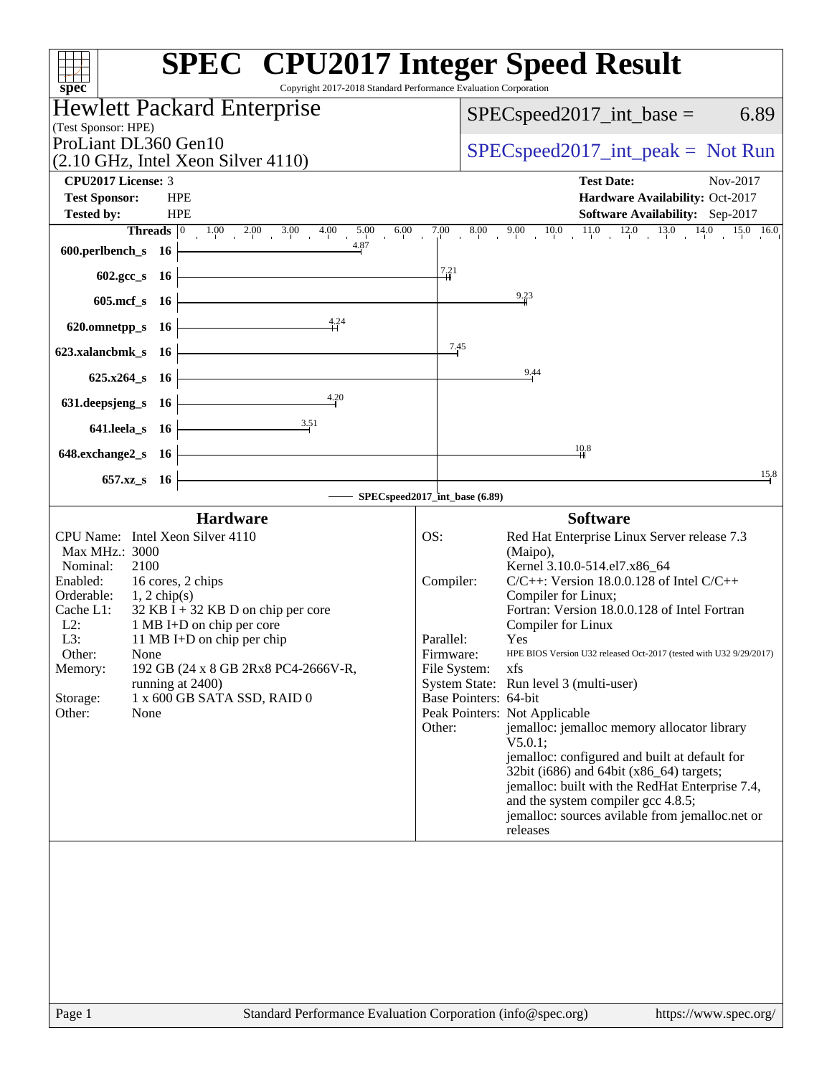|                                                                                      | <b>SPEC<sup>®</sup></b> CPU2017 Integer Speed Result                                                                                                             |
|--------------------------------------------------------------------------------------|------------------------------------------------------------------------------------------------------------------------------------------------------------------|
| Copyright 2017-2018 Standard Performance Evaluation Corporation<br>spec <sup>®</sup> |                                                                                                                                                                  |
| <b>Hewlett Packard Enterprise</b>                                                    | 6.89<br>$SPEC speed2017\_int\_base =$                                                                                                                            |
| (Test Sponsor: HPE)                                                                  |                                                                                                                                                                  |
| ProLiant DL360 Gen10                                                                 | $SPEC speed2017\_int\_peak = Not Run$                                                                                                                            |
| $(2.10 \text{ GHz}, \text{Intel Xeon Silver } 4110)$                                 |                                                                                                                                                                  |
| <b>CPU2017 License: 3</b><br><b>Test Sponsor:</b><br><b>HPE</b>                      | <b>Test Date:</b><br>Nov-2017                                                                                                                                    |
| <b>Tested by:</b><br><b>HPE</b>                                                      | Hardware Availability: Oct-2017<br>Software Availability: Sep-2017                                                                                               |
|                                                                                      | <b>Threads</b> $\begin{bmatrix} 0 & 1.00 & 2.00 & 3.00 & 4.00 & 5.00 & 6.00 & 7.00 & 8.00 & 9.00 & 10.0 & 11.0 & 12.0 & 13.0 & 14.0 & 15.0 & 16.0 \end{bmatrix}$ |
| 4.87<br><u> 1989 - Johann Stoff, Amerikaansk politiker (</u><br>600.perlbench_s $16$ |                                                                                                                                                                  |
|                                                                                      | 7,21                                                                                                                                                             |
| <u> 1989 - Johann Barbara, martxa alemaniar a</u><br>602.gcc_s 16                    |                                                                                                                                                                  |
| 605.mcf_s 16                                                                         | $\frac{9.23}{4}$                                                                                                                                                 |
| 4.24<br>620.omnetpp_s $16$                                                           |                                                                                                                                                                  |
|                                                                                      |                                                                                                                                                                  |
| 623.xalancbmk_s 16                                                                   | 7.45                                                                                                                                                             |
| $625.x264_s$ 16                                                                      | 9.44                                                                                                                                                             |
| 4.20<br>631.deepsjeng_s 16                                                           |                                                                                                                                                                  |
|                                                                                      |                                                                                                                                                                  |
| 3.51<br>641.leela_s 16                                                               |                                                                                                                                                                  |
| the control of the control of the control of the control of<br>648.exchange2_s 16    | $\frac{10.8}{10}$                                                                                                                                                |
| 657.xz_s 16                                                                          | 15.8                                                                                                                                                             |
|                                                                                      | SPECspeed2017_int_base (6.89)                                                                                                                                    |
| <b>Hardware</b>                                                                      | <b>Software</b>                                                                                                                                                  |
| CPU Name: Intel Xeon Silver 4110                                                     | Red Hat Enterprise Linux Server release 7.3<br>OS:                                                                                                               |
| Max MHz.: 3000<br>Nominal:<br>2100                                                   | (Maipo),<br>Kernel 3.10.0-514.el7.x86_64                                                                                                                         |
| Enabled:<br>16 cores, 2 chips                                                        | $C/C++$ : Version 18.0.0.128 of Intel $C/C++$<br>Compiler:                                                                                                       |
| Orderable:<br>$1, 2$ chip(s)                                                         | Compiler for Linux;                                                                                                                                              |
| Cache L1:<br>$32$ KB I + 32 KB D on chip per core                                    | Fortran: Version 18.0.0.128 of Intel Fortran                                                                                                                     |
| $L2$ :<br>1 MB I+D on chip per core<br>L3:<br>11 MB I+D on chip per chip             | Compiler for Linux<br>Parallel:<br>Yes                                                                                                                           |
| Other:<br>None                                                                       | Firmware:<br>HPE BIOS Version U32 released Oct-2017 (tested with U32 9/29/2017)                                                                                  |
| 192 GB (24 x 8 GB 2Rx8 PC4-2666V-R,<br>Memory:                                       | File System:<br>xfs                                                                                                                                              |
| running at 2400)                                                                     | System State: Run level 3 (multi-user)                                                                                                                           |
| $1$ x 600 GB SATA SSD, RAID $0$<br>Storage:<br>Other:<br>None                        | Base Pointers: 64-bit<br>Peak Pointers: Not Applicable                                                                                                           |
|                                                                                      | jemalloc: jemalloc memory allocator library<br>Other:                                                                                                            |
|                                                                                      | V5.0.1;                                                                                                                                                          |
|                                                                                      | jemalloc: configured and built at default for                                                                                                                    |
|                                                                                      | 32bit (i686) and 64bit (x86_64) targets;<br>jemalloc: built with the RedHat Enterprise 7.4,                                                                      |
|                                                                                      | and the system compiler gcc 4.8.5;                                                                                                                               |
|                                                                                      | jemalloc: sources avilable from jemalloc.net or                                                                                                                  |
|                                                                                      | releases                                                                                                                                                         |
|                                                                                      |                                                                                                                                                                  |
|                                                                                      |                                                                                                                                                                  |
|                                                                                      |                                                                                                                                                                  |
|                                                                                      |                                                                                                                                                                  |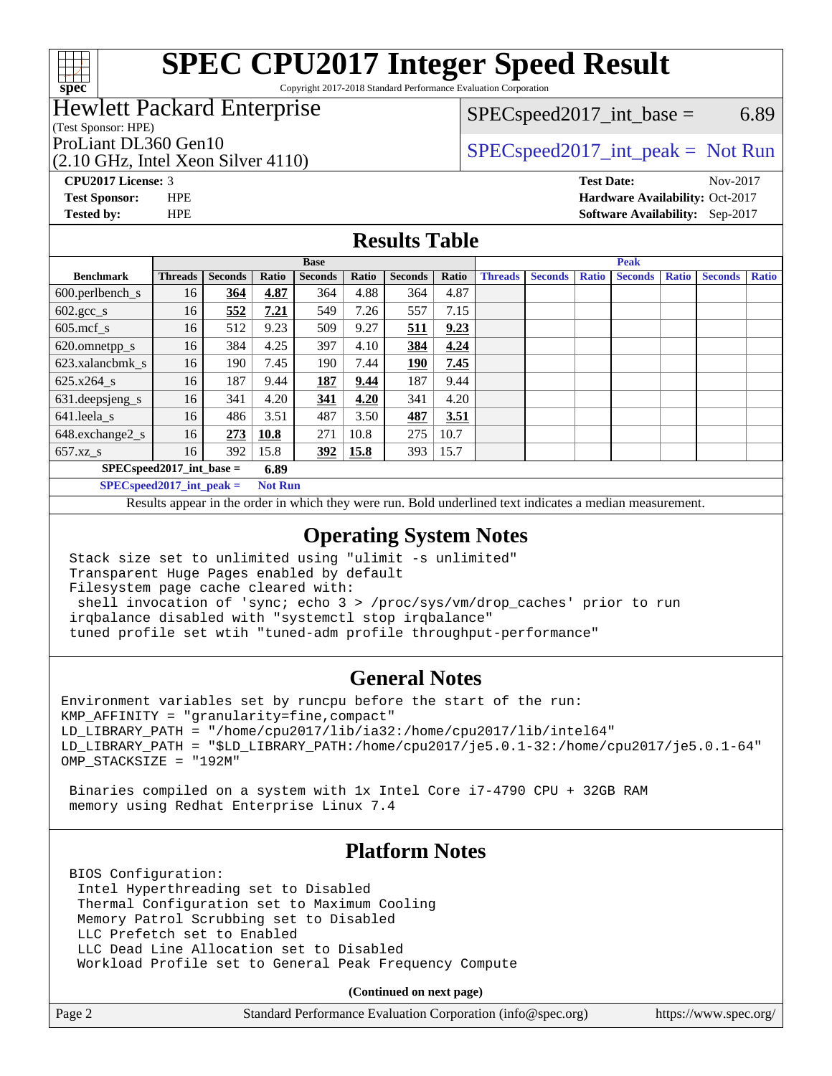

Copyright 2017-2018 Standard Performance Evaluation Corporation

### Hewlett Packard Enterprise

(Test Sponsor: HPE)

(2.10 GHz, Intel Xeon Silver 4110)

 $SPEC speed2017\_int\_base =$  6.89

## ProLiant DL360 Gen10  $SPEC speed2017\_int\_peak = Not Run$

**[CPU2017 License:](http://www.spec.org/auto/cpu2017/Docs/result-fields.html#CPU2017License)** 3 **[Test Date:](http://www.spec.org/auto/cpu2017/Docs/result-fields.html#TestDate)** Nov-2017 **[Test Sponsor:](http://www.spec.org/auto/cpu2017/Docs/result-fields.html#TestSponsor)** HPE **[Hardware Availability:](http://www.spec.org/auto/cpu2017/Docs/result-fields.html#HardwareAvailability)** Oct-2017 **[Tested by:](http://www.spec.org/auto/cpu2017/Docs/result-fields.html#Testedby)** HPE **[Software Availability:](http://www.spec.org/auto/cpu2017/Docs/result-fields.html#SoftwareAvailability)** Sep-2017

### **[Results Table](http://www.spec.org/auto/cpu2017/Docs/result-fields.html#ResultsTable)**

|                                     | <b>Base</b>    |                |              |                | <b>Peak</b> |                |       |                |                |              |                |              |                |              |
|-------------------------------------|----------------|----------------|--------------|----------------|-------------|----------------|-------|----------------|----------------|--------------|----------------|--------------|----------------|--------------|
| <b>Benchmark</b>                    | <b>Threads</b> | <b>Seconds</b> | <b>Ratio</b> | <b>Seconds</b> | Ratio       | <b>Seconds</b> | Ratio | <b>Threads</b> | <b>Seconds</b> | <b>Ratio</b> | <b>Seconds</b> | <b>Ratio</b> | <b>Seconds</b> | <b>Ratio</b> |
| $600.$ perlbench $\mathsf{S}$       | 16             | 364            | 4.87         | 364            | 4.88        | 364            | 4.87  |                |                |              |                |              |                |              |
| $602.\text{gcc}\_\text{s}$          | 16             | 552            | 7.21         | 549            | 7.26        | 557            | 7.15  |                |                |              |                |              |                |              |
| $605$ .mcf s                        | 16             | 512            | 9.23         | 509            | 9.27        | 511            | 9.23  |                |                |              |                |              |                |              |
| 620.omnetpp_s                       | 16             | 384            | 4.25         | 397            | 4.10        | 384            | 4.24  |                |                |              |                |              |                |              |
| 623.xalancbmk s                     | 16             | 190            | 7.45         | 190            | 7.44        | <b>190</b>     | 7.45  |                |                |              |                |              |                |              |
| 625.x264 s                          | 16             | 187            | 9.44         | <u>187</u>     | 9.44        | 187            | 9.44  |                |                |              |                |              |                |              |
| 631.deepsjeng_s                     | 16             | 341            | 4.20         | 341            | 4.20        | 341            | 4.20  |                |                |              |                |              |                |              |
| 641.leela s                         | 16             | 486            | 3.51         | 487            | 3.50        | 487            | 3.51  |                |                |              |                |              |                |              |
| 648.exchange2_s                     | 16             | 273            | 10.8         | 271            | 10.8        | 275            | 10.7  |                |                |              |                |              |                |              |
| $657.xz$ s                          | 16             | 392            | 15.8         | 392            | 15.8        | 393            | 15.7  |                |                |              |                |              |                |              |
| $SPEC speed2017$ int base =<br>6.89 |                |                |              |                |             |                |       |                |                |              |                |              |                |              |

**[SPECspeed2017\\_int\\_peak =](http://www.spec.org/auto/cpu2017/Docs/result-fields.html#SPECspeed2017intpeak) Not Run**

Results appear in the [order in which they were run.](http://www.spec.org/auto/cpu2017/Docs/result-fields.html#RunOrder) Bold underlined text [indicates a median measurement.](http://www.spec.org/auto/cpu2017/Docs/result-fields.html#Median)

#### **[Operating System Notes](http://www.spec.org/auto/cpu2017/Docs/result-fields.html#OperatingSystemNotes)**

 Stack size set to unlimited using "ulimit -s unlimited" Transparent Huge Pages enabled by default Filesystem page cache cleared with: shell invocation of 'sync; echo 3 > /proc/sys/vm/drop\_caches' prior to run irqbalance disabled with "systemctl stop irqbalance"

tuned profile set wtih "tuned-adm profile throughput-performance"

### **[General Notes](http://www.spec.org/auto/cpu2017/Docs/result-fields.html#GeneralNotes)**

Environment variables set by runcpu before the start of the run: KMP\_AFFINITY = "granularity=fine,compact" LD\_LIBRARY\_PATH = "/home/cpu2017/lib/ia32:/home/cpu2017/lib/intel64" LD\_LIBRARY\_PATH = "\$LD\_LIBRARY\_PATH:/home/cpu2017/je5.0.1-32:/home/cpu2017/je5.0.1-64" OMP\_STACKSIZE = "192M"

 Binaries compiled on a system with 1x Intel Core i7-4790 CPU + 32GB RAM memory using Redhat Enterprise Linux 7.4

### **[Platform Notes](http://www.spec.org/auto/cpu2017/Docs/result-fields.html#PlatformNotes)**

 BIOS Configuration: Intel Hyperthreading set to Disabled Thermal Configuration set to Maximum Cooling Memory Patrol Scrubbing set to Disabled LLC Prefetch set to Enabled LLC Dead Line Allocation set to Disabled Workload Profile set to General Peak Frequency Compute

**(Continued on next page)**

| Page 2 | Standard Performance Evaluation Corporation (info@spec.org) |  | https://www.spec.org/ |
|--------|-------------------------------------------------------------|--|-----------------------|
|--------|-------------------------------------------------------------|--|-----------------------|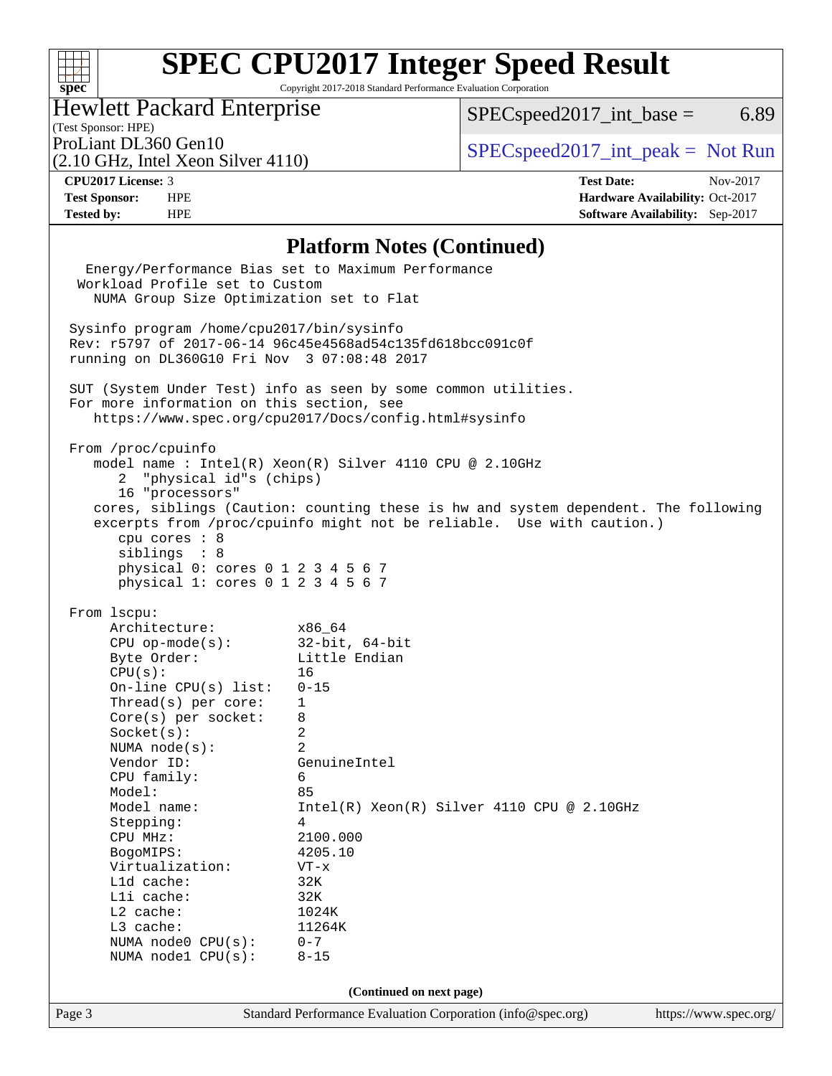### $\pm$ **[spec](http://www.spec.org/)**

# **[SPEC CPU2017 Integer Speed Result](http://www.spec.org/auto/cpu2017/Docs/result-fields.html#SPECCPU2017IntegerSpeedResult)**

Copyright 2017-2018 Standard Performance Evaluation Corporation

### Hewlett Packard Enterprise

 $SPECspeed2017\_int\_base =$  6.89

### (Test Sponsor: HPE)

(2.10 GHz, Intel Xeon Silver 4110)

ProLiant DL360 Gen10  $SPEC speed2017\_int\_peak = Not Run$ 

**[Tested by:](http://www.spec.org/auto/cpu2017/Docs/result-fields.html#Testedby)** HPE **[Software Availability:](http://www.spec.org/auto/cpu2017/Docs/result-fields.html#SoftwareAvailability)** Sep-2017

**[CPU2017 License:](http://www.spec.org/auto/cpu2017/Docs/result-fields.html#CPU2017License)** 3 **[Test Date:](http://www.spec.org/auto/cpu2017/Docs/result-fields.html#TestDate)** Nov-2017 **[Test Sponsor:](http://www.spec.org/auto/cpu2017/Docs/result-fields.html#TestSponsor)** HPE **[Hardware Availability:](http://www.spec.org/auto/cpu2017/Docs/result-fields.html#HardwareAvailability)** Oct-2017

#### **[Platform Notes \(Continued\)](http://www.spec.org/auto/cpu2017/Docs/result-fields.html#PlatformNotes)**

| Page 3 |                                                                                      | Standard Performance Evaluation Corporation (info@spec.org)                        | https://www.spec.org/ |  |  |  |  |
|--------|--------------------------------------------------------------------------------------|------------------------------------------------------------------------------------|-----------------------|--|--|--|--|
|        |                                                                                      | (Continued on next page)                                                           |                       |  |  |  |  |
|        |                                                                                      |                                                                                    |                       |  |  |  |  |
|        | NUMA nodel CPU(s):                                                                   | $8 - 15$                                                                           |                       |  |  |  |  |
|        | NUMA node0 CPU(s):                                                                   | $0 - 7$                                                                            |                       |  |  |  |  |
|        | L3 cache:                                                                            | 11264K                                                                             |                       |  |  |  |  |
|        | L2 cache:                                                                            | 1024K                                                                              |                       |  |  |  |  |
|        | L1d cache:<br>Lli cache:                                                             | 32K<br>32K                                                                         |                       |  |  |  |  |
|        | Virtualization:                                                                      | $VT - x$                                                                           |                       |  |  |  |  |
|        | BogoMIPS:                                                                            | 4205.10                                                                            |                       |  |  |  |  |
|        | CPU MHz:                                                                             | 2100.000                                                                           |                       |  |  |  |  |
|        | Stepping:                                                                            | 4                                                                                  |                       |  |  |  |  |
|        | Model name:                                                                          | Intel(R) Xeon(R) Silver 4110 CPU @ 2.10GHz                                         |                       |  |  |  |  |
|        | Model:                                                                               | 85                                                                                 |                       |  |  |  |  |
|        | CPU family:                                                                          | 6                                                                                  |                       |  |  |  |  |
|        | Vendor ID:                                                                           | GenuineIntel                                                                       |                       |  |  |  |  |
|        | NUMA $node(s):$                                                                      | 2                                                                                  |                       |  |  |  |  |
|        | Socket(s):                                                                           | 2                                                                                  |                       |  |  |  |  |
|        | $Core(s)$ per socket:                                                                | 8                                                                                  |                       |  |  |  |  |
|        | Thread(s) per core:                                                                  | $\mathbf{1}$                                                                       |                       |  |  |  |  |
|        | On-line CPU(s) list: $0-15$                                                          |                                                                                    |                       |  |  |  |  |
|        | CPU(s):                                                                              | 16                                                                                 |                       |  |  |  |  |
|        | Byte Order:                                                                          | Little Endian                                                                      |                       |  |  |  |  |
|        | CPU op-mode(s): $32-bit, 64-bit$                                                     |                                                                                    |                       |  |  |  |  |
|        | Architecture:<br>x86 64                                                              |                                                                                    |                       |  |  |  |  |
|        | From 1scpu:                                                                          |                                                                                    |                       |  |  |  |  |
|        | physical 1: cores 0 1 2 3 4 5 6 7                                                    |                                                                                    |                       |  |  |  |  |
|        | physical 0: cores 0 1 2 3 4 5 6 7                                                    |                                                                                    |                       |  |  |  |  |
|        | siblings : 8                                                                         |                                                                                    |                       |  |  |  |  |
|        | cpu cores : 8                                                                        | excerpts from /proc/cpuinfo might not be reliable. Use with caution.)              |                       |  |  |  |  |
|        |                                                                                      | cores, siblings (Caution: counting these is hw and system dependent. The following |                       |  |  |  |  |
|        | 16 "processors"                                                                      |                                                                                    |                       |  |  |  |  |
|        | 2 "physical id"s (chips)                                                             |                                                                                    |                       |  |  |  |  |
|        |                                                                                      | model name : Intel(R) Xeon(R) Silver 4110 CPU @ 2.10GHz                            |                       |  |  |  |  |
|        | From /proc/cpuinfo                                                                   |                                                                                    |                       |  |  |  |  |
|        |                                                                                      |                                                                                    |                       |  |  |  |  |
|        |                                                                                      | https://www.spec.org/cpu2017/Docs/config.html#sysinfo                              |                       |  |  |  |  |
|        | For more information on this section, see                                            | SUT (System Under Test) info as seen by some common utilities.                     |                       |  |  |  |  |
|        |                                                                                      |                                                                                    |                       |  |  |  |  |
|        | running on DL360G10 Fri Nov 3 07:08:48 2017                                          |                                                                                    |                       |  |  |  |  |
|        |                                                                                      | Rev: r5797 of 2017-06-14 96c45e4568ad54c135fd618bcc091c0f                          |                       |  |  |  |  |
|        | Sysinfo program /home/cpu2017/bin/sysinfo                                            |                                                                                    |                       |  |  |  |  |
|        | NUMA Group Size Optimization set to Flat                                             |                                                                                    |                       |  |  |  |  |
|        |                                                                                      |                                                                                    |                       |  |  |  |  |
|        | Energy/Performance Bias set to Maximum Performance<br>Workload Profile set to Custom |                                                                                    |                       |  |  |  |  |
|        |                                                                                      |                                                                                    |                       |  |  |  |  |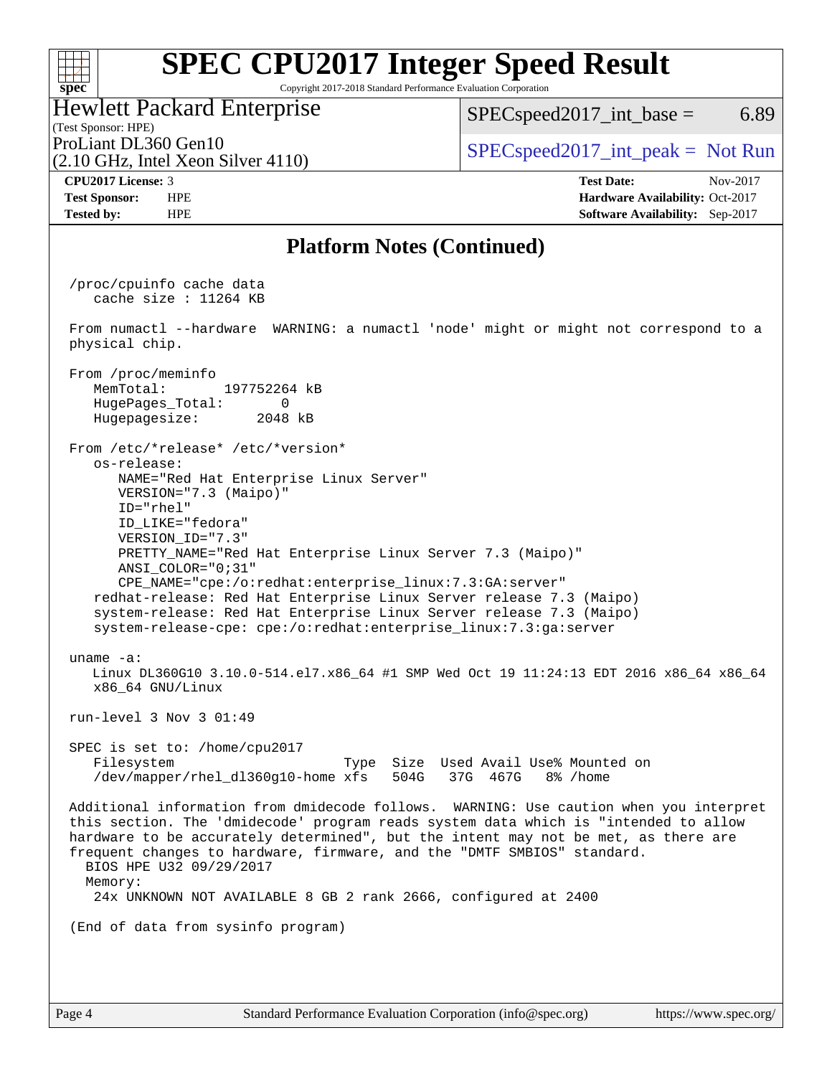Copyright 2017-2018 Standard Performance Evaluation Corporation

(Test Sponsor: HPE) Hewlett Packard Enterprise (2.10 GHz, Intel Xeon Silver 4110) ProLiant DL360 Gen10  $SPEC speed2017\_int\_peak = Not Run$  $SPEC speed2017\_int\_base =$  6.89 **[CPU2017 License:](http://www.spec.org/auto/cpu2017/Docs/result-fields.html#CPU2017License)** 3 **[Test Date:](http://www.spec.org/auto/cpu2017/Docs/result-fields.html#TestDate)** Nov-2017 **[Test Sponsor:](http://www.spec.org/auto/cpu2017/Docs/result-fields.html#TestSponsor)** HPE **[Hardware Availability:](http://www.spec.org/auto/cpu2017/Docs/result-fields.html#HardwareAvailability)** Oct-2017 **[Tested by:](http://www.spec.org/auto/cpu2017/Docs/result-fields.html#Testedby)** HPE **[Software Availability:](http://www.spec.org/auto/cpu2017/Docs/result-fields.html#SoftwareAvailability)** Sep-2017 **[Platform Notes \(Continued\)](http://www.spec.org/auto/cpu2017/Docs/result-fields.html#PlatformNotes)** /proc/cpuinfo cache data cache size : 11264 KB From numactl --hardware WARNING: a numactl 'node' might or might not correspond to a physical chip. From /proc/meminfo MemTotal: 197752264 kB HugePages\_Total: 0 Hugepagesize: 2048 kB From /etc/\*release\* /etc/\*version\* os-release: NAME="Red Hat Enterprise Linux Server" VERSION="7.3 (Maipo)" ID="rhel" ID\_LIKE="fedora" VERSION\_ID="7.3" PRETTY\_NAME="Red Hat Enterprise Linux Server 7.3 (Maipo)" ANSI\_COLOR="0;31" CPE\_NAME="cpe:/o:redhat:enterprise\_linux:7.3:GA:server" redhat-release: Red Hat Enterprise Linux Server release 7.3 (Maipo) system-release: Red Hat Enterprise Linux Server release 7.3 (Maipo) system-release-cpe: cpe:/o:redhat:enterprise\_linux:7.3:ga:server uname -a: Linux DL360G10 3.10.0-514.el7.x86\_64 #1 SMP Wed Oct 19 11:24:13 EDT 2016 x86\_64 x86\_64 x86\_64 GNU/Linux run-level 3 Nov 3 01:49 SPEC is set to: /home/cpu2017 Filesystem Type Size Used Avail Use% Mounted on /dev/mapper/rhel\_dl360g10-home xfs 504G 37G 467G 8% /home Additional information from dmidecode follows. WARNING: Use caution when you interpret this section. The 'dmidecode' program reads system data which is "intended to allow hardware to be accurately determined", but the intent may not be met, as there are frequent changes to hardware, firmware, and the "DMTF SMBIOS" standard. BIOS HPE U32 09/29/2017 Memory: 24x UNKNOWN NOT AVAILABLE 8 GB 2 rank 2666, configured at 2400 (End of data from sysinfo program)

**[spec](http://www.spec.org/)**

 $+\ +$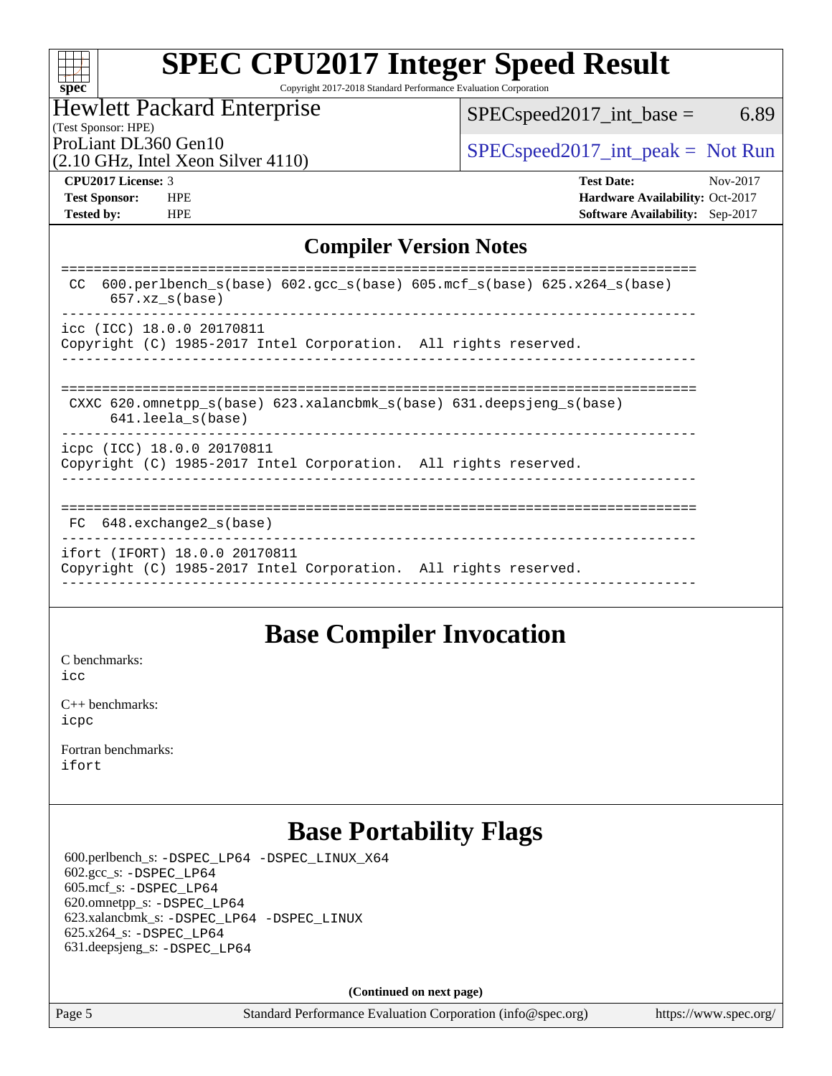| Sì<br>0e<br>Ľ |  |  |  |  |
|---------------|--|--|--|--|

Copyright 2017-2018 Standard Performance Evaluation Corporation

#### Hewlett Packard Enterprise

(2.10 GHz, Intel Xeon Silver 4110)

[SPECspeed2017\\_int\\_base =](http://www.spec.org/auto/cpu2017/Docs/result-fields.html#SPECspeed2017intbase) 6.89

(Test Sponsor: HPE)

ProLiant DL360 Gen10  $SPEC speed2017\_int\_peak = Not Run$ 

**[Tested by:](http://www.spec.org/auto/cpu2017/Docs/result-fields.html#Testedby)** HPE **[Software Availability:](http://www.spec.org/auto/cpu2017/Docs/result-fields.html#SoftwareAvailability)** Sep-2017

**[CPU2017 License:](http://www.spec.org/auto/cpu2017/Docs/result-fields.html#CPU2017License)** 3 **[Test Date:](http://www.spec.org/auto/cpu2017/Docs/result-fields.html#TestDate)** Nov-2017 **[Test Sponsor:](http://www.spec.org/auto/cpu2017/Docs/result-fields.html#TestSponsor)** HPE **[Hardware Availability:](http://www.spec.org/auto/cpu2017/Docs/result-fields.html#HardwareAvailability)** Oct-2017

### **[Compiler Version Notes](http://www.spec.org/auto/cpu2017/Docs/result-fields.html#CompilerVersionNotes)**

| 600.perlbench $s(base)$ 602.gcc $s(base)$ 605.mcf $s(base)$ 625.x264 $s(base)$<br>CC.<br>$657.xz$ s(base) |
|-----------------------------------------------------------------------------------------------------------|
| icc (ICC) 18.0.0 20170811<br>Copyright (C) 1985-2017 Intel Corporation. All rights reserved.              |
| CXXC 620.omnetpp $s(base)$ 623.xalancbmk $s(base)$ 631.deepsjeng $s(base)$<br>$641.$ leela $s(base)$      |
| icpc (ICC) 18.0.0 20170811<br>Copyright (C) 1985-2017 Intel Corporation. All rights reserved.             |
| $FC$ 648. exchange 2 $s$ (base)                                                                           |
| ifort (IFORT) 18.0.0 20170811<br>Copyright (C) 1985-2017 Intel Corporation. All rights reserved.          |

### **[Base Compiler Invocation](http://www.spec.org/auto/cpu2017/Docs/result-fields.html#BaseCompilerInvocation)**

[C benchmarks](http://www.spec.org/auto/cpu2017/Docs/result-fields.html#Cbenchmarks): [icc](http://www.spec.org/cpu2017/results/res2017q4/cpu2017-20171114-00772.flags.html#user_CCbase_intel_icc_18.0_66fc1ee009f7361af1fbd72ca7dcefbb700085f36577c54f309893dd4ec40d12360134090235512931783d35fd58c0460139e722d5067c5574d8eaf2b3e37e92)

[C++ benchmarks:](http://www.spec.org/auto/cpu2017/Docs/result-fields.html#CXXbenchmarks) [icpc](http://www.spec.org/cpu2017/results/res2017q4/cpu2017-20171114-00772.flags.html#user_CXXbase_intel_icpc_18.0_c510b6838c7f56d33e37e94d029a35b4a7bccf4766a728ee175e80a419847e808290a9b78be685c44ab727ea267ec2f070ec5dc83b407c0218cded6866a35d07)

[Fortran benchmarks](http://www.spec.org/auto/cpu2017/Docs/result-fields.html#Fortranbenchmarks): [ifort](http://www.spec.org/cpu2017/results/res2017q4/cpu2017-20171114-00772.flags.html#user_FCbase_intel_ifort_18.0_8111460550e3ca792625aed983ce982f94888b8b503583aa7ba2b8303487b4d8a21a13e7191a45c5fd58ff318f48f9492884d4413fa793fd88dd292cad7027ca)

# **[Base Portability Flags](http://www.spec.org/auto/cpu2017/Docs/result-fields.html#BasePortabilityFlags)**

 600.perlbench\_s: [-DSPEC\\_LP64](http://www.spec.org/cpu2017/results/res2017q4/cpu2017-20171114-00772.flags.html#b600.perlbench_s_basePORTABILITY_DSPEC_LP64) [-DSPEC\\_LINUX\\_X64](http://www.spec.org/cpu2017/results/res2017q4/cpu2017-20171114-00772.flags.html#b600.perlbench_s_baseCPORTABILITY_DSPEC_LINUX_X64) 602.gcc\_s: [-DSPEC\\_LP64](http://www.spec.org/cpu2017/results/res2017q4/cpu2017-20171114-00772.flags.html#suite_basePORTABILITY602_gcc_s_DSPEC_LP64) 605.mcf\_s: [-DSPEC\\_LP64](http://www.spec.org/cpu2017/results/res2017q4/cpu2017-20171114-00772.flags.html#suite_basePORTABILITY605_mcf_s_DSPEC_LP64) 620.omnetpp\_s: [-DSPEC\\_LP64](http://www.spec.org/cpu2017/results/res2017q4/cpu2017-20171114-00772.flags.html#suite_basePORTABILITY620_omnetpp_s_DSPEC_LP64) 623.xalancbmk\_s: [-DSPEC\\_LP64](http://www.spec.org/cpu2017/results/res2017q4/cpu2017-20171114-00772.flags.html#suite_basePORTABILITY623_xalancbmk_s_DSPEC_LP64) [-DSPEC\\_LINUX](http://www.spec.org/cpu2017/results/res2017q4/cpu2017-20171114-00772.flags.html#b623.xalancbmk_s_baseCXXPORTABILITY_DSPEC_LINUX) 625.x264\_s: [-DSPEC\\_LP64](http://www.spec.org/cpu2017/results/res2017q4/cpu2017-20171114-00772.flags.html#suite_basePORTABILITY625_x264_s_DSPEC_LP64) 631.deepsjeng\_s: [-DSPEC\\_LP64](http://www.spec.org/cpu2017/results/res2017q4/cpu2017-20171114-00772.flags.html#suite_basePORTABILITY631_deepsjeng_s_DSPEC_LP64)

**(Continued on next page)**

Page 5 Standard Performance Evaluation Corporation [\(info@spec.org\)](mailto:info@spec.org) <https://www.spec.org/>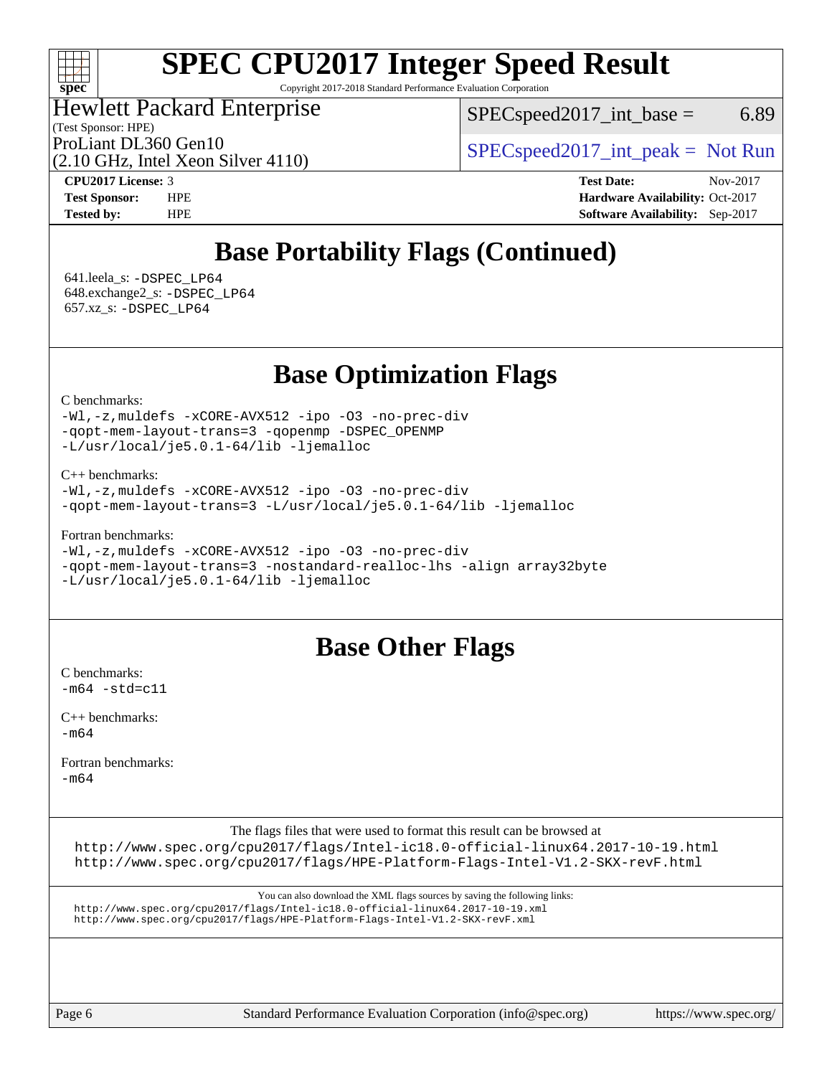#### $\pm\pm\prime$ **[spec](http://www.spec.org/)**

# **[SPEC CPU2017 Integer Speed Result](http://www.spec.org/auto/cpu2017/Docs/result-fields.html#SPECCPU2017IntegerSpeedResult)**

Copyright 2017-2018 Standard Performance Evaluation Corporation

### Hewlett Packard Enterprise

(Test Sponsor: HPE)

 $SPEC speed2017\_int\_base =$  6.89

(2.10 GHz, Intel Xeon Silver 4110)

ProLiant DL360 Gen10  $SPEC speed2017\_int\_peak = Not Run$ 

**[CPU2017 License:](http://www.spec.org/auto/cpu2017/Docs/result-fields.html#CPU2017License)** 3 **[Test Date:](http://www.spec.org/auto/cpu2017/Docs/result-fields.html#TestDate)** Nov-2017 **[Test Sponsor:](http://www.spec.org/auto/cpu2017/Docs/result-fields.html#TestSponsor)** HPE **[Hardware Availability:](http://www.spec.org/auto/cpu2017/Docs/result-fields.html#HardwareAvailability)** Oct-2017 **[Tested by:](http://www.spec.org/auto/cpu2017/Docs/result-fields.html#Testedby)** HPE **[Software Availability:](http://www.spec.org/auto/cpu2017/Docs/result-fields.html#SoftwareAvailability)** Sep-2017

# **[Base Portability Flags \(Continued\)](http://www.spec.org/auto/cpu2017/Docs/result-fields.html#BasePortabilityFlags)**

 641.leela\_s: [-DSPEC\\_LP64](http://www.spec.org/cpu2017/results/res2017q4/cpu2017-20171114-00772.flags.html#suite_basePORTABILITY641_leela_s_DSPEC_LP64) 648.exchange2\_s: [-DSPEC\\_LP64](http://www.spec.org/cpu2017/results/res2017q4/cpu2017-20171114-00772.flags.html#suite_basePORTABILITY648_exchange2_s_DSPEC_LP64) 657.xz\_s: [-DSPEC\\_LP64](http://www.spec.org/cpu2017/results/res2017q4/cpu2017-20171114-00772.flags.html#suite_basePORTABILITY657_xz_s_DSPEC_LP64)

# **[Base Optimization Flags](http://www.spec.org/auto/cpu2017/Docs/result-fields.html#BaseOptimizationFlags)**

[C benchmarks](http://www.spec.org/auto/cpu2017/Docs/result-fields.html#Cbenchmarks):

[-Wl,-z,muldefs](http://www.spec.org/cpu2017/results/res2017q4/cpu2017-20171114-00772.flags.html#user_CCbase_link_force_multiple1_b4cbdb97b34bdee9ceefcfe54f4c8ea74255f0b02a4b23e853cdb0e18eb4525ac79b5a88067c842dd0ee6996c24547a27a4b99331201badda8798ef8a743f577) [-xCORE-AVX512](http://www.spec.org/cpu2017/results/res2017q4/cpu2017-20171114-00772.flags.html#user_CCbase_f-xCORE-AVX512) [-ipo](http://www.spec.org/cpu2017/results/res2017q4/cpu2017-20171114-00772.flags.html#user_CCbase_f-ipo) [-O3](http://www.spec.org/cpu2017/results/res2017q4/cpu2017-20171114-00772.flags.html#user_CCbase_f-O3) [-no-prec-div](http://www.spec.org/cpu2017/results/res2017q4/cpu2017-20171114-00772.flags.html#user_CCbase_f-no-prec-div) [-qopt-mem-layout-trans=3](http://www.spec.org/cpu2017/results/res2017q4/cpu2017-20171114-00772.flags.html#user_CCbase_f-qopt-mem-layout-trans_de80db37974c74b1f0e20d883f0b675c88c3b01e9d123adea9b28688d64333345fb62bc4a798493513fdb68f60282f9a726aa07f478b2f7113531aecce732043) [-qopenmp](http://www.spec.org/cpu2017/results/res2017q4/cpu2017-20171114-00772.flags.html#user_CCbase_qopenmp_16be0c44f24f464004c6784a7acb94aca937f053568ce72f94b139a11c7c168634a55f6653758ddd83bcf7b8463e8028bb0b48b77bcddc6b78d5d95bb1df2967) [-DSPEC\\_OPENMP](http://www.spec.org/cpu2017/results/res2017q4/cpu2017-20171114-00772.flags.html#suite_CCbase_DSPEC_OPENMP) [-L/usr/local/je5.0.1-64/lib](http://www.spec.org/cpu2017/results/res2017q4/cpu2017-20171114-00772.flags.html#user_CCbase_jemalloc_link_path64_4b10a636b7bce113509b17f3bd0d6226c5fb2346b9178c2d0232c14f04ab830f976640479e5c33dc2bcbbdad86ecfb6634cbbd4418746f06f368b512fced5394) [-ljemalloc](http://www.spec.org/cpu2017/results/res2017q4/cpu2017-20171114-00772.flags.html#user_CCbase_jemalloc_link_lib_d1249b907c500fa1c0672f44f562e3d0f79738ae9e3c4a9c376d49f265a04b9c99b167ecedbf6711b3085be911c67ff61f150a17b3472be731631ba4d0471706)

[C++ benchmarks:](http://www.spec.org/auto/cpu2017/Docs/result-fields.html#CXXbenchmarks)

```
-Wl,-z,muldefs -xCORE-AVX512 -ipo -O3 -no-prec-div
-qopt-mem-layout-trans=3 -L/usr/local/je5.0.1-64/lib -ljemalloc
```
[Fortran benchmarks](http://www.spec.org/auto/cpu2017/Docs/result-fields.html#Fortranbenchmarks):

[-Wl,-z,muldefs](http://www.spec.org/cpu2017/results/res2017q4/cpu2017-20171114-00772.flags.html#user_FCbase_link_force_multiple1_b4cbdb97b34bdee9ceefcfe54f4c8ea74255f0b02a4b23e853cdb0e18eb4525ac79b5a88067c842dd0ee6996c24547a27a4b99331201badda8798ef8a743f577) [-xCORE-AVX512](http://www.spec.org/cpu2017/results/res2017q4/cpu2017-20171114-00772.flags.html#user_FCbase_f-xCORE-AVX512) [-ipo](http://www.spec.org/cpu2017/results/res2017q4/cpu2017-20171114-00772.flags.html#user_FCbase_f-ipo) [-O3](http://www.spec.org/cpu2017/results/res2017q4/cpu2017-20171114-00772.flags.html#user_FCbase_f-O3) [-no-prec-div](http://www.spec.org/cpu2017/results/res2017q4/cpu2017-20171114-00772.flags.html#user_FCbase_f-no-prec-div) [-qopt-mem-layout-trans=3](http://www.spec.org/cpu2017/results/res2017q4/cpu2017-20171114-00772.flags.html#user_FCbase_f-qopt-mem-layout-trans_de80db37974c74b1f0e20d883f0b675c88c3b01e9d123adea9b28688d64333345fb62bc4a798493513fdb68f60282f9a726aa07f478b2f7113531aecce732043) [-nostandard-realloc-lhs](http://www.spec.org/cpu2017/results/res2017q4/cpu2017-20171114-00772.flags.html#user_FCbase_f_2003_std_realloc_82b4557e90729c0f113870c07e44d33d6f5a304b4f63d4c15d2d0f1fab99f5daaed73bdb9275d9ae411527f28b936061aa8b9c8f2d63842963b95c9dd6426b8a) [-align array32byte](http://www.spec.org/cpu2017/results/res2017q4/cpu2017-20171114-00772.flags.html#user_FCbase_align_array32byte_b982fe038af199962ba9a80c053b8342c548c85b40b8e86eb3cc33dee0d7986a4af373ac2d51c3f7cf710a18d62fdce2948f201cd044323541f22fc0fffc51b6) [-L/usr/local/je5.0.1-64/lib](http://www.spec.org/cpu2017/results/res2017q4/cpu2017-20171114-00772.flags.html#user_FCbase_jemalloc_link_path64_4b10a636b7bce113509b17f3bd0d6226c5fb2346b9178c2d0232c14f04ab830f976640479e5c33dc2bcbbdad86ecfb6634cbbd4418746f06f368b512fced5394) [-ljemalloc](http://www.spec.org/cpu2017/results/res2017q4/cpu2017-20171114-00772.flags.html#user_FCbase_jemalloc_link_lib_d1249b907c500fa1c0672f44f562e3d0f79738ae9e3c4a9c376d49f265a04b9c99b167ecedbf6711b3085be911c67ff61f150a17b3472be731631ba4d0471706)

# **[Base Other Flags](http://www.spec.org/auto/cpu2017/Docs/result-fields.html#BaseOtherFlags)**

[C benchmarks](http://www.spec.org/auto/cpu2017/Docs/result-fields.html#Cbenchmarks):  $-m64 - std = c11$  $-m64 - std = c11$ 

[C++ benchmarks:](http://www.spec.org/auto/cpu2017/Docs/result-fields.html#CXXbenchmarks)  $-m64$ 

[Fortran benchmarks](http://www.spec.org/auto/cpu2017/Docs/result-fields.html#Fortranbenchmarks):

[-m64](http://www.spec.org/cpu2017/results/res2017q4/cpu2017-20171114-00772.flags.html#user_FCbase_intel_intel64_18.0_af43caccfc8ded86e7699f2159af6efc7655f51387b94da716254467f3c01020a5059329e2569e4053f409e7c9202a7efc638f7a6d1ffb3f52dea4a3e31d82ab)

The flags files that were used to format this result can be browsed at

<http://www.spec.org/cpu2017/flags/Intel-ic18.0-official-linux64.2017-10-19.html> <http://www.spec.org/cpu2017/flags/HPE-Platform-Flags-Intel-V1.2-SKX-revF.html>

You can also download the XML flags sources by saving the following links: <http://www.spec.org/cpu2017/flags/Intel-ic18.0-official-linux64.2017-10-19.xml> <http://www.spec.org/cpu2017/flags/HPE-Platform-Flags-Intel-V1.2-SKX-revF.xml>